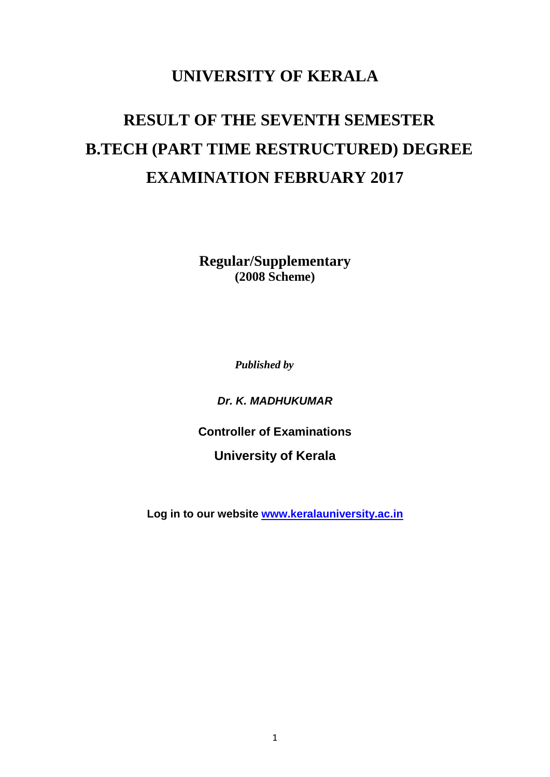# **UNIVERSITY OF KERALA**

# **RESULT OF THE SEVENTH SEMESTER B.TECH (PART TIME RESTRUCTURED) DEGREE EXAMINATION FEBRUARY 2017**

**Regular/Supplementary (2008 Scheme)**

*Published by*

*Dr. K. MADHUKUMAR*

**Controller of Examinations University of Kerala**

 **Log in to our website [www.keralauniversity.ac.in](http://www.keralauniversity.ac.in/)**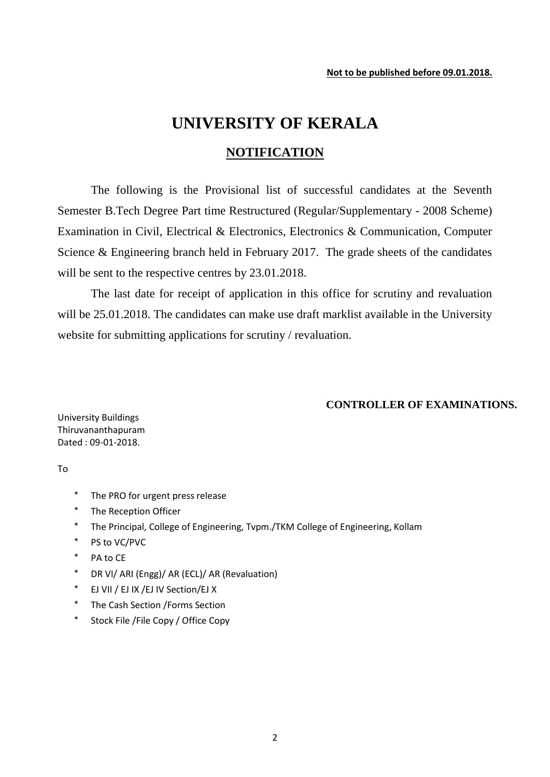# **UNIVERSITY OF KERALA**

## **NOTIFICATION**

The following is the Provisional list of successful candidates at the Seventh Semester B.Tech Degree Part time Restructured (Regular/Supplementary - 2008 Scheme) Examination in Civil, Electrical & Electronics, Electronics & Communication, Computer Science & Engineering branch held in February 2017. The grade sheets of the candidates will be sent to the respective centres by 23.01.2018.

The last date for receipt of application in this office for scrutiny and revaluation will be 25.01.2018. The candidates can make use draft marklist available in the University website for submitting applications for scrutiny / revaluation.

#### **CONTROLLER OF EXAMINATIONS.**

University Buildings Thiruvananthapuram Dated : 09-01-2018.

To

- \* The PRO for urgent press release
- \* The Reception Officer
- The Principal, College of Engineering, Tvpm./TKM College of Engineering, Kollam
- \* PS to VC/PVC
- \* PA to CE
- \* DR VI/ ARI (Engg)/ AR (ECL)/ AR (Revaluation)
- \* EJ VII / EJ IX /EJ IV Section/EJ X
- \* The Cash Section /Forms Section
- Stock File /File Copy / Office Copy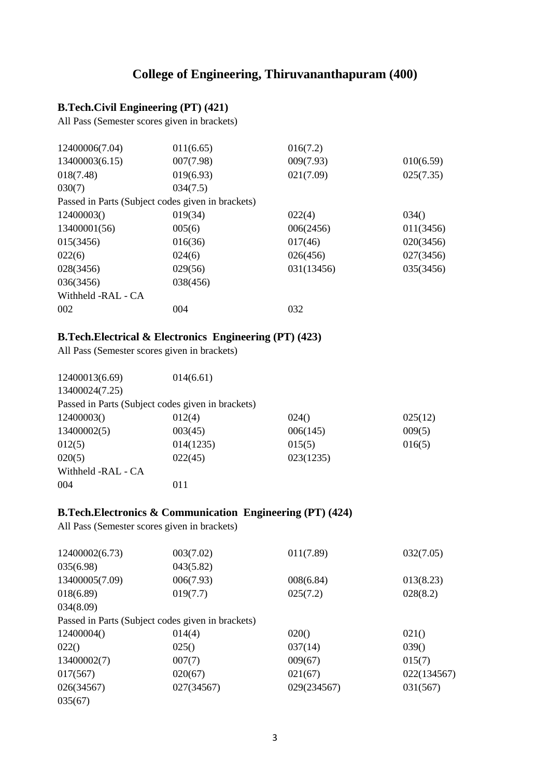## **College of Engineering, Thiruvananthapuram (400)**

#### **B.Tech.Civil Engineering (PT) (421)**

All Pass (Semester scores given in brackets)

| 12400006(7.04)                                    | 011(6.65) | 016(7.2)   |           |
|---------------------------------------------------|-----------|------------|-----------|
| 13400003(6.15)                                    | 007(7.98) | 009(7.93)  | 010(6.59) |
| 018(7.48)                                         | 019(6.93) | 021(7.09)  | 025(7.35) |
| 030(7)                                            | 034(7.5)  |            |           |
| Passed in Parts (Subject codes given in brackets) |           |            |           |
| 12400003()                                        | 019(34)   | 022(4)     | 034()     |
| 13400001(56)                                      | 005(6)    | 006(2456)  | 011(3456) |
| 015(3456)                                         | 016(36)   | 017(46)    | 020(3456) |
| 022(6)                                            | 024(6)    | 026(456)   | 027(3456) |
| 028(3456)                                         | 029(56)   | 031(13456) | 035(3456) |
| 036(3456)                                         | 038(456)  |            |           |
| Withheld -RAL - CA                                |           |            |           |
| 002                                               | 004       | 032        |           |
|                                                   |           |            |           |

#### **B.Tech.Electrical & Electronics Engineering (PT) (423)**

All Pass (Semester scores given in brackets)

| 12400013(6.69)     | 014(6.61)                                         |           |         |
|--------------------|---------------------------------------------------|-----------|---------|
| 13400024(7.25)     |                                                   |           |         |
|                    | Passed in Parts (Subject codes given in brackets) |           |         |
| 12400003()         | 012(4)                                            | 024()     | 025(12) |
| 13400002(5)        | 003(45)                                           | 006(145)  | 009(5)  |
| 012(5)             | 014(1235)                                         | 015(5)    | 016(5)  |
| 020(5)             | 022(45)                                           | 023(1235) |         |
| Withheld -RAL - CA |                                                   |           |         |
| 004                | 011                                               |           |         |

#### **B.Tech.Electronics & Communication Engineering (PT) (424)**

All Pass (Semester scores given in brackets)

| 12400002(6.73) | 003(7.02)                                         | 011(7.89)   | 032(7.05)   |
|----------------|---------------------------------------------------|-------------|-------------|
| 035(6.98)      | 043(5.82)                                         |             |             |
| 13400005(7.09) | 006(7.93)                                         | 008(6.84)   | 013(8.23)   |
| 018(6.89)      | 019(7.7)                                          | 025(7.2)    | 028(8.2)    |
| 034(8.09)      |                                                   |             |             |
|                | Passed in Parts (Subject codes given in brackets) |             |             |
| 12400004()     | 014(4)                                            | 020()       | 021()       |
| 022()          | 025()                                             | 037(14)     | 039()       |
| 13400002(7)    | 007(7)                                            | 009(67)     | 015(7)      |
| 017(567)       | 020(67)                                           | 021(67)     | 022(134567) |
| 026(34567)     | 027(34567)                                        | 029(234567) | 031(567)    |
| 035(67)        |                                                   |             |             |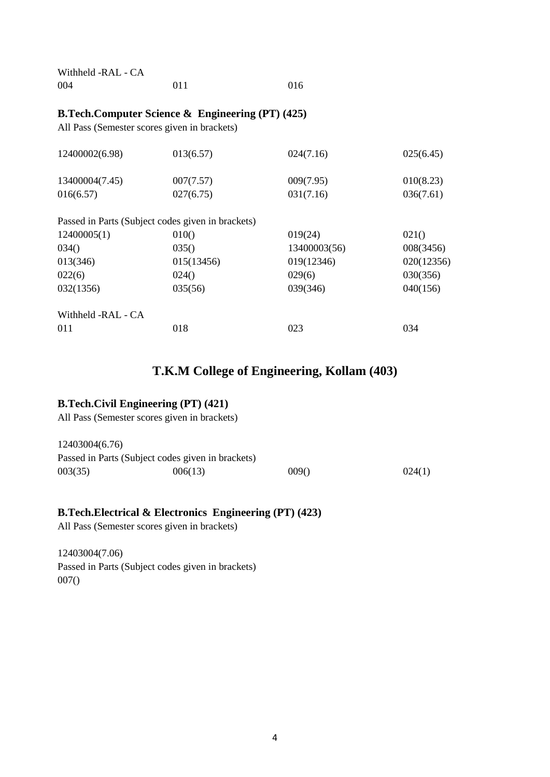| Withheld -RAL - CA |     |     |
|--------------------|-----|-----|
| 004                | 011 | 016 |

#### **B.Tech.Computer Science & Engineering (PT) (425)**

All Pass (Semester scores given in brackets)

| 12400002(6.98)                                    | 013(6.57)  | 024(7.16)    | 025(6.45)  |
|---------------------------------------------------|------------|--------------|------------|
| 13400004(7.45)                                    | 007(7.57)  | 009(7.95)    | 010(8.23)  |
| 016(6.57)                                         | 027(6.75)  | 031(7.16)    | 036(7.61)  |
| Passed in Parts (Subject codes given in brackets) |            |              |            |
| 12400005(1)                                       | 010()      | 019(24)      | 021()      |
| 034()                                             | 035()      | 13400003(56) | 008(3456)  |
| 013(346)                                          | 015(13456) | 019(12346)   | 020(12356) |
| 022(6)                                            | 024()      | 029(6)       | 030(356)   |
| 032(1356)                                         | 035(56)    | 039(346)     | 040(156)   |
| Withheld -RAL - CA                                |            |              |            |
| 011                                               | 018        | 023          | 034        |

## **T.K.M College of Engineering, Kollam (403)**

## **B.Tech.Civil Engineering (PT) (421)**

All Pass (Semester scores given in brackets)

| 12403004(6.76) |                                                   |       |        |
|----------------|---------------------------------------------------|-------|--------|
|                | Passed in Parts (Subject codes given in brackets) |       |        |
| 003(35)        | 006(13)                                           | 009() | 024(1) |

#### **B.Tech.Electrical & Electronics Engineering (PT) (423)**

All Pass (Semester scores given in brackets)

12403004(7.06) Passed in Parts (Subject codes given in brackets) 007()